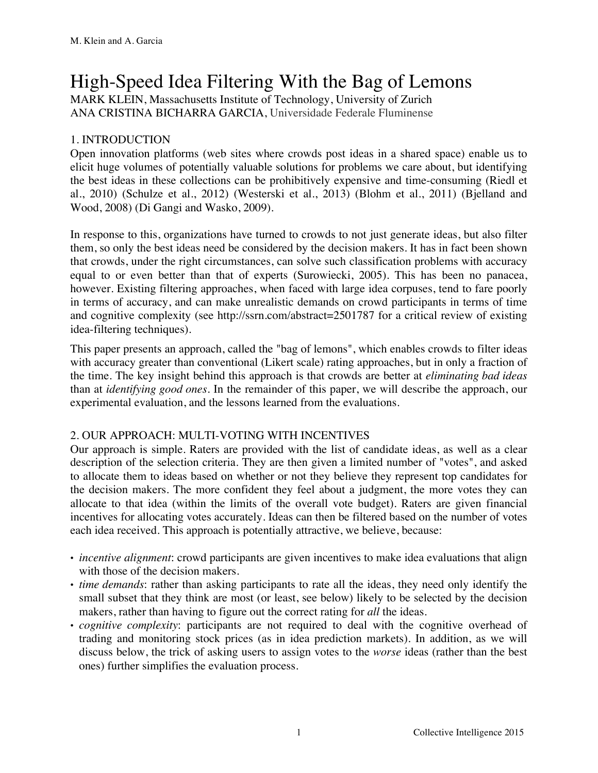# High-Speed Idea Filtering With the Bag of Lemons

MARK KLEIN, Massachusetts Institute of Technology, University of Zurich ANA CRISTINA BICHARRA GARCIA, Universidade Federale Fluminense

# 1. INTRODUCTION

Open innovation platforms (web sites where crowds post ideas in a shared space) enable us to elicit huge volumes of potentially valuable solutions for problems we care about, but identifying the best ideas in these collections can be prohibitively expensive and time-consuming (Riedl et al., 2010) (Schulze et al., 2012) (Westerski et al., 2013) (Blohm et al., 2011) (Bjelland and Wood, 2008) (Di Gangi and Wasko, 2009).

In response to this, organizations have turned to crowds to not just generate ideas, but also filter them, so only the best ideas need be considered by the decision makers. It has in fact been shown that crowds, under the right circumstances, can solve such classification problems with accuracy equal to or even better than that of experts (Surowiecki, 2005). This has been no panacea, however. Existing filtering approaches, when faced with large idea corpuses, tend to fare poorly in terms of accuracy, and can make unrealistic demands on crowd participants in terms of time and cognitive complexity (see http://ssrn.com/abstract=2501787 for a critical review of existing idea-filtering techniques).

This paper presents an approach, called the "bag of lemons", which enables crowds to filter ideas with accuracy greater than conventional (Likert scale) rating approaches, but in only a fraction of the time. The key insight behind this approach is that crowds are better at *eliminating bad ideas* than at *identifying good ones*. In the remainder of this paper, we will describe the approach, our experimental evaluation, and the lessons learned from the evaluations.

# 2. OUR APPROACH: MULTI-VOTING WITH INCENTIVES

Our approach is simple. Raters are provided with the list of candidate ideas, as well as a clear description of the selection criteria. They are then given a limited number of "votes", and asked to allocate them to ideas based on whether or not they believe they represent top candidates for the decision makers. The more confident they feel about a judgment, the more votes they can allocate to that idea (within the limits of the overall vote budget). Raters are given financial incentives for allocating votes accurately. Ideas can then be filtered based on the number of votes each idea received. This approach is potentially attractive, we believe, because:

- *• incentive alignment*: crowd participants are given incentives to make idea evaluations that align with those of the decision makers.
- *• time demands*: rather than asking participants to rate all the ideas, they need only identify the small subset that they think are most (or least, see below) likely to be selected by the decision makers, rather than having to figure out the correct rating for *all* the ideas.
- *cognitive complexity*: participants are not required to deal with the cognitive overhead of trading and monitoring stock prices (as in idea prediction markets). In addition, as we will discuss below, the trick of asking users to assign votes to the *worse* ideas (rather than the best ones) further simplifies the evaluation process.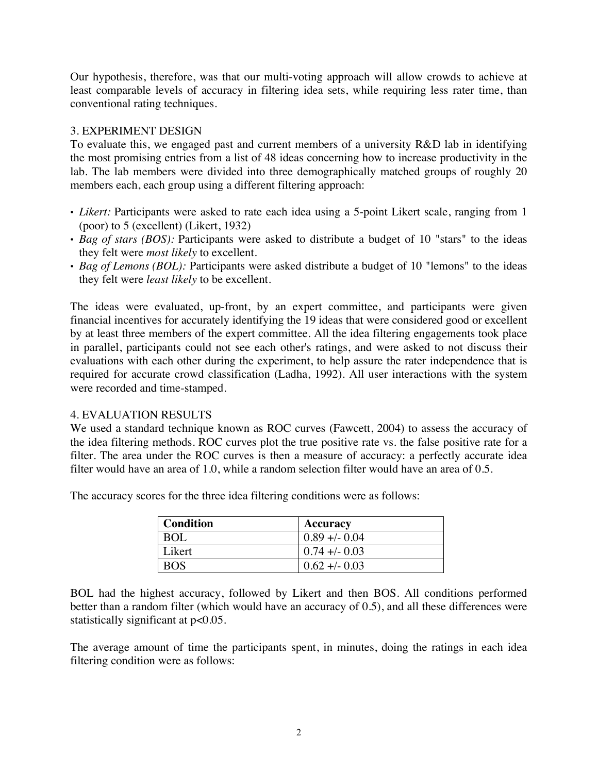Our hypothesis, therefore, was that our multi-voting approach will allow crowds to achieve at least comparable levels of accuracy in filtering idea sets, while requiring less rater time, than conventional rating techniques.

## 3. EXPERIMENT DESIGN

To evaluate this, we engaged past and current members of a university R&D lab in identifying the most promising entries from a list of 48 ideas concerning how to increase productivity in the lab. The lab members were divided into three demographically matched groups of roughly 20 members each, each group using a different filtering approach:

- *• Likert:* Participants were asked to rate each idea using a 5-point Likert scale, ranging from 1 (poor) to 5 (excellent) (Likert, 1932)
- *• Bag of stars (BOS):* Participants were asked to distribute a budget of 10 "stars" to the ideas they felt were *most likely* to excellent.
- *• Bag of Lemons (BOL):* Participants were asked distribute a budget of 10 "lemons" to the ideas they felt were *least likely* to be excellent.

The ideas were evaluated, up-front, by an expert committee, and participants were given financial incentives for accurately identifying the 19 ideas that were considered good or excellent by at least three members of the expert committee. All the idea filtering engagements took place in parallel, participants could not see each other's ratings, and were asked to not discuss their evaluations with each other during the experiment, to help assure the rater independence that is required for accurate crowd classification (Ladha, 1992). All user interactions with the system were recorded and time-stamped.

#### 4. EVALUATION RESULTS

We used a standard technique known as ROC curves (Fawcett, 2004) to assess the accuracy of the idea filtering methods. ROC curves plot the true positive rate vs. the false positive rate for a filter. The area under the ROC curves is then a measure of accuracy: a perfectly accurate idea filter would have an area of 1.0, while a random selection filter would have an area of 0.5.

The accuracy scores for the three idea filtering conditions were as follows:

| Condition        | Accuracy         |
|------------------|------------------|
| BOL <sup>'</sup> | $0.89 + -0.04$   |
| Likert           | $0.74 + (-0.03)$ |
| <b>BOS</b>       | $0.62 + (-0.03)$ |

BOL had the highest accuracy, followed by Likert and then BOS. All conditions performed better than a random filter (which would have an accuracy of 0.5), and all these differences were statistically significant at p<0.05.

The average amount of time the participants spent, in minutes, doing the ratings in each idea filtering condition were as follows: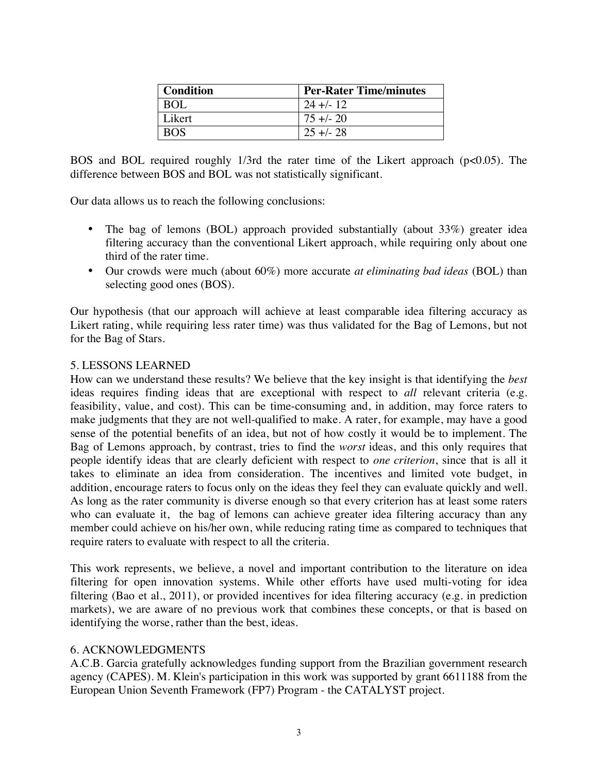| Condition  | <b>Per-Rater Time/minutes</b> |
|------------|-------------------------------|
| <b>BOL</b> | $24 + (-12)$                  |
| Likert     | $75 + (-20)$                  |
|            | $25 + 28$                     |

BOS and BOL required roughly 1/3rd the rater time of the Likert approach (p<0.05). The difference between BOS and BOL was not statistically significant.

Our data allows us to reach the following conclusions:

- The bag of lemons (BOL) approach provided substantially (about 33%) greater idea filtering accuracy than the conventional Likert approach, while requiring only about one third of the rater time.
- Our crowds were much (about 60%) more accurate *at eliminating bad ideas* (BOL) than selecting good ones (BOS).

Our hypothesis (that our approach will achieve at least comparable idea filtering accuracy as Likert rating, while requiring less rater time) was thus validated for the Bag of Lemons, but not for the Bag of Stars.

### 5. LESSONS LEARNED

How can we understand these results? We believe that the key insight is that identifying the *best* ideas requires finding ideas that are exceptional with respect to *all* relevant criteria (e.g. feasibility, value, and cost). This can be time-consuming and, in addition, may force raters to make judgments that they are not well-qualified to make. A rater, for example, may have a good sense of the potential benefits of an idea, but not of how costly it would be to implement. The Bag of Lemons approach, by contrast, tries to find the *worst* ideas, and this only requires that people identify ideas that are clearly deficient with respect to *one criterion*, since that is all it takes to eliminate an idea from consideration*.* The incentives and limited vote budget, in addition, encourage raters to focus only on the ideas they feel they can evaluate quickly and well. As long as the rater community is diverse enough so that every criterion has at least some raters who can evaluate it, the bag of lemons can achieve greater idea filtering accuracy than any member could achieve on his/her own, while reducing rating time as compared to techniques that require raters to evaluate with respect to all the criteria.

This work represents, we believe, a novel and important contribution to the literature on idea filtering for open innovation systems. While other efforts have used multi-voting for idea filtering (Bao et al., 2011), or provided incentives for idea filtering accuracy (e.g. in prediction markets), we are aware of no previous work that combines these concepts, or that is based on identifying the worse, rather than the best, ideas.

#### 6. ACKNOWLEDGMENTS

A.C.B. Garcia gratefully acknowledges funding support from the Brazilian government research agency (CAPES). M. Klein's participation in this work was supported by grant 6611188 from the European Union Seventh Framework (FP7) Program - the CATALYST project.